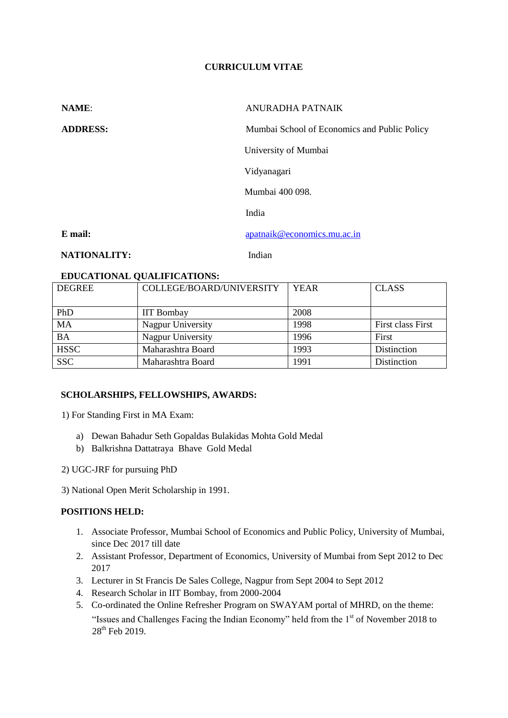# **CURRICULUM VITAE**

| <b>NAME:</b>        | ANURADHA PATNAIK                             |  |
|---------------------|----------------------------------------------|--|
| <b>ADDRESS:</b>     | Mumbai School of Economics and Public Policy |  |
|                     | University of Mumbai                         |  |
|                     | Vidyanagari                                  |  |
|                     | Mumbai 400 098.                              |  |
|                     | India                                        |  |
| E mail:             | apatnaik@economics.mu.ac.in                  |  |
| <b>NATIONALITY:</b> | Indian                                       |  |

## **EDUCATIONAL QUALIFICATIONS:**

| <b>DEGREE</b> | COLLEGE/BOARD/UNIVERSITY | <b>YEAR</b> | <b>CLASS</b>      |
|---------------|--------------------------|-------------|-------------------|
| PhD           | <b>IIT Bombay</b>        | 2008        |                   |
| MA            | Nagpur University        | 1998        | First class First |
| <b>BA</b>     | Nagpur University        | 1996        | First             |
| <b>HSSC</b>   | Maharashtra Board        | 1993        | Distinction       |
| <b>SSC</b>    | Maharashtra Board        | 1991        | Distinction       |

## **SCHOLARSHIPS, FELLOWSHIPS, AWARDS:**

1) For Standing First in MA Exam:

- a) Dewan Bahadur Seth Gopaldas Bulakidas Mohta Gold Medal
- b) Balkrishna Dattatraya Bhave Gold Medal
- 2) UGC-JRF for pursuing PhD

3) National Open Merit Scholarship in 1991.

# **POSITIONS HELD:**

- 1. Associate Professor, Mumbai School of Economics and Public Policy, University of Mumbai, since Dec 2017 till date
- 2. Assistant Professor, Department of Economics, University of Mumbai from Sept 2012 to Dec 2017
- 3. Lecturer in St Francis De Sales College, Nagpur from Sept 2004 to Sept 2012
- 4. Research Scholar in IIT Bombay, from 2000-2004
- 5. Co-ordinated the Online Refresher Program on SWAYAM portal of MHRD, on the theme: "Issues and Challenges Facing the Indian Economy" held from the  $1<sup>st</sup>$  of November 2018 to 28<sup>th</sup> Feb 2019.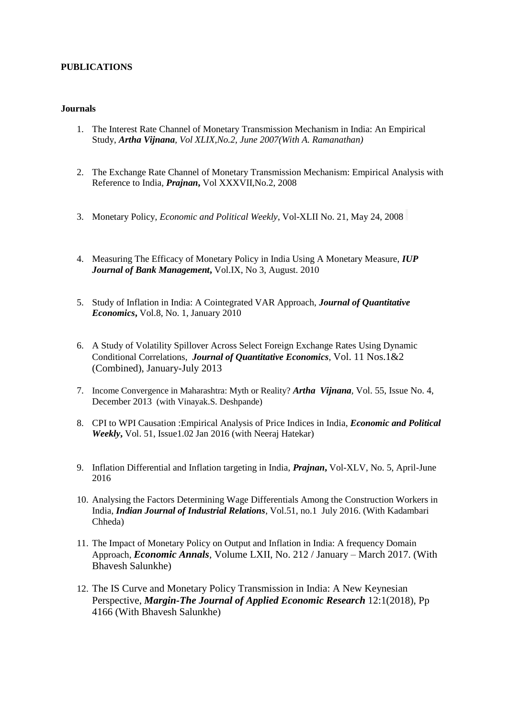## **PUBLICATIONS**

#### **Journals**

- 1. The Interest Rate Channel of Monetary Transmission Mechanism in India: An Empirical Study, *Artha Vijnana, Vol XLIX,No.2, June 2007(With A. Ramanathan)*
- 2. The Exchange Rate Channel of Monetary Transmission Mechanism: Empirical Analysis with Reference to India*, Prajnan***,** Vol XXXVII,No.2, 2008
- 3. Monetary Policy, *Economic and Political Weekly*, Vol-XLII No. 21, May 24, 2008
- 4. Measuring The Efficacy of Monetary Policy in India Using A Monetary Measure, *IUP Journal of Bank Management***,** Vol.IX, No 3, August. 2010
- 5. Study of Inflation in India: A Cointegrated VAR Approach, *Journal of Quantitative Economics***,** Vol.8, No. 1, January 2010
- 6. A Study of Volatility Spillover Across Select Foreign Exchange Rates Using Dynamic Conditional Correlations, *Journal of Quantitative Economics*, Vol. 11 Nos.1&2 (Combined), January-July 2013
- 7. Income Convergence in Maharashtra: Myth or Reality? *Artha Vijnana,* Vol. 55, Issue No. 4, December 2013 (with Vinayak.S. Deshpande)
- 8. CPI to WPI Causation :Empirical Analysis of Price Indices in India, *Economic and Political Weekly***,** Vol. 51, Issue1.02 Jan 2016 (with Neeraj Hatekar)
- 9. Inflation Differential and Inflation targeting in India, *Prajnan***,** Vol-XLV, No. 5, April-June 2016
- 10. Analysing the Factors Determining Wage Differentials Among the Construction Workers in India, *Indian Journal of Industrial Relations*, Vol.51, no.1 July 2016. (With Kadambari Chheda)
- 11. The Impact of Monetary Policy on Output and Inflation in India: A frequency Domain Approach, *Economic Annals,* Volume LXII, No. 212 / January – March 2017. (With Bhavesh Salunkhe)
- 12. The IS Curve and Monetary Policy Transmission in India: A New Keynesian Perspective, *Margin-The Journal of Applied Economic Research* 12:1(2018), Pp 4166 (With Bhavesh Salunkhe)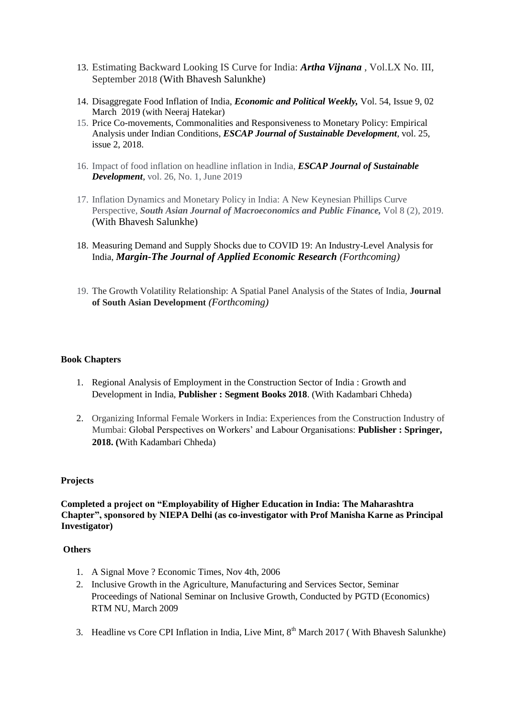- 13. Estimating Backward Looking IS Curve for India: *Artha Vijnana* , Vol.LX No. III, September 2018 (With Bhavesh Salunkhe)
- 14. Disaggregate Food Inflation of India, *Economic and Political Weekly,* Vol. 54, Issue 9, 02 March 2019 (with Neeraj Hatekar)
- 15. Price Co-movements, Commonalities and Responsiveness to Monetary Policy: Empirical Analysis under Indian Conditions, *ESCAP Journal of Sustainable Development*, vol. 25, issue 2, 2018.
- 16. Impact of food inflation on headline inflation in India, *ESCAP Journal of Sustainable Development*, vol. 26, No. 1, June 2019
- 17. Inflation Dynamics and Monetary Policy in India: A New Keynesian Phillips Curve Perspective, *South Asian Journal of Macroeconomics and Public Finance,* Vol 8 (2), 2019. (With Bhavesh Salunkhe)
- 18. Measuring Demand and Supply Shocks due to COVID 19: An Industry-Level Analysis for India, *Margin-The Journal of Applied Economic Research (Forthcoming)*
- 19. The Growth Volatility Relationship: A Spatial Panel Analysis of the States of India, **Journal of South Asian Development** *(Forthcoming)*

## **Book Chapters**

- 1. Regional Analysis of Employment in the Construction Sector of India : Growth and Development in India, **Publisher : Segment Books 2018**. (With Kadambari Chheda)
- 2. Organizing Informal Female Workers in India: Experiences from the Construction Industry of Mumbai: Global Perspectives on Workers' and Labour Organisations: **Publisher : Springer, 2018. (**With Kadambari Chheda)

## **Projects**

**Completed a project on "Employability of Higher Education in India: The Maharashtra Chapter", sponsored by NIEPA Delhi (as co-investigator with Prof Manisha Karne as Principal Investigator)**

## **Others**

- 1. A Signal Move ? Economic Times, Nov 4th, 2006
- 2. Inclusive Growth in the Agriculture, Manufacturing and Services Sector, Seminar Proceedings of National Seminar on Inclusive Growth, Conducted by PGTD (Economics) RTM NU, March 2009
- 3. Headline vs Core CPI Inflation in India, Live Mint,  $8<sup>th</sup>$  March 2017 (With Bhavesh Salunkhe)